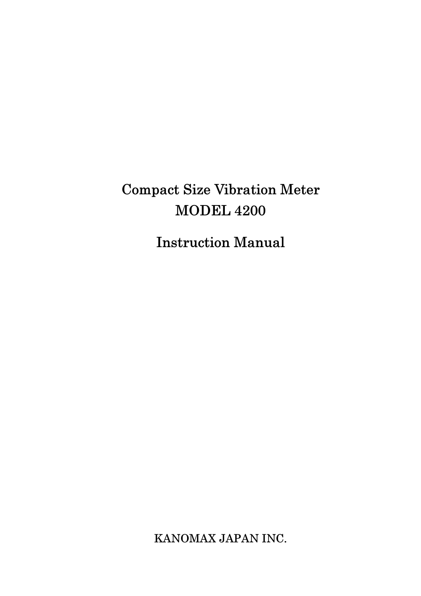# Compact Size Vibration Meter MODEL 4200

Instruction Manual

KANOMAX JAPAN INC.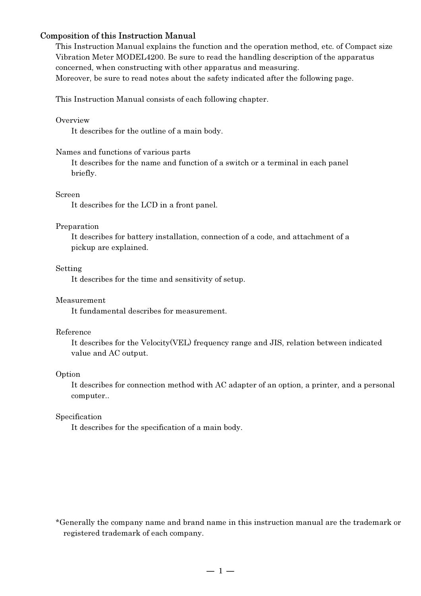#### Composition of this Instruction Manual

This Instruction Manual explains the function and the operation method, etc. of Compact size Vibration Meter MODEL4200. Be sure to read the handling description of the apparatus concerned, when constructing with other apparatus and measuring. Moreover, be sure to read notes about the safety indicated after the following page.

This Instruction Manual consists of each following chapter.

#### Overview

It describes for the outline of a main body.

#### Names and functions of various parts

It describes for the name and function of a switch or a terminal in each panel briefly.

#### Screen

It describes for the LCD in a front panel.

#### Preparation

 It describes for battery installation, connection of a code, and attachment of a pickup are explained.

#### Setting

It describes for the time and sensitivity of setup.

#### Measurement

It fundamental describes for measurement.

#### Reference

 It describes for the Velocity(VEL) frequency range and JIS, relation between indicated value and AC output.

#### Option

 It describes for connection method with AC adapter of an option, a printer, and a personal computer..

#### Specification

It describes for the specification of a main body.

\*Generally the company name and brand name in this instruction manual are the trademark or registered trademark of each company.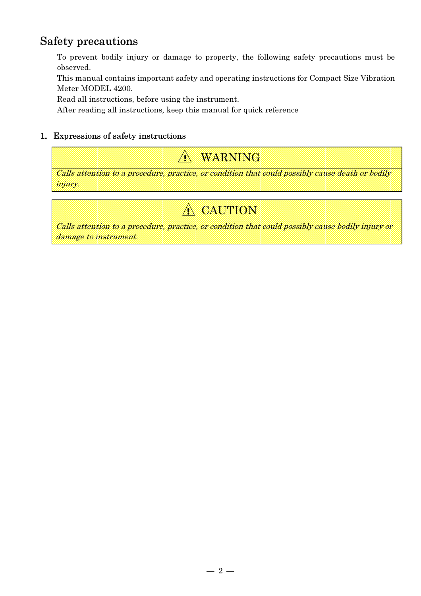# Safety precautions

To prevent bodily injury or damage to property, the following safety precautions must be observed.

This manual contains important safety and operating instructions for Compact Size Vibration Meter MODEL 4200.

Read all instructions, before using the instrument.

After reading all instructions, keep this manual for quick reference

# 1.Expressions of safety instructions

! WARNING

Calls attention to a procedure, practice, or condition that could possibly cause death or bodily injury.

# ! CAUTION

Calls attention to a procedure, practice, or condition that could possibly cause bodily injury or damage to instrument.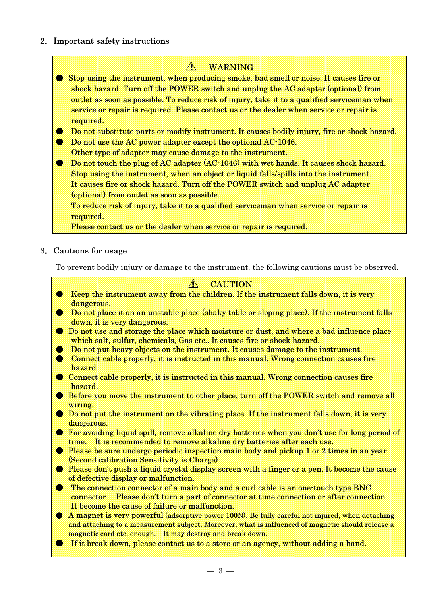2.Important safety instructions

# **A** WARNING ● Stop using the instrument, when producing smoke, bad smell or noise. It causes fire or shock hazard. Turn off the POWER switch and unplug the AC adapter (optional) from outlet as soon as possible. To reduce risk of injury, take it to a qualified serviceman when service or repair is required. Please contact us or the dealer when service or repair is required. ● Do not substitute parts or modify instrument. It causes bodily injury, fire or shock hazard. **• Do not use the AC power adapter except the optional AC-1046.** Other type of adapter may cause damage to the instrument. ● Do not touch the plug of AC adapter (AC-1046) with wet hands. It causes shock hazard. Stop using the instrument, when an object or liquid falls/spills into the instrument. It causes fire or shock hazard. Turn off the POWER switch and unplug AC adapter (optional) from outlet as soon as possible. To reduce risk of injury, take it to a qualified serviceman when service or repair is required. Please contact us or the dealer when service or repair is required.

# 3.Cautions for usage

To prevent bodily injury or damage to the instrument, the following cautions must be observed.

- *CAUTION* ● Keep the instrument away from the children. If the instrument falls down, it is very dangerous.
- Do not place it on an unstable place (shaky table or sloping place). If the instrument falls down, it is very dangerous.
- Do not use and storage the place which moisture or dust, and where a bad influence place which salt, sulfur, chemicals, Gas etc.. It causes fire or shock hazard.
- Do not put heavy objects on the instrument. It causes damage to the instrument.
- Connect cable properly, it is instructed in this manual. Wrong connection causes fire hazard.
- Connect cable properly, it is instructed in this manual. Wrong connection causes fire hazard.
- **Before you move the instrument to other place, turn off the POWER switch and remove all** wiring.
- Do not put the instrument on the vibrating place. If the instrument falls down, it is very dangerous.
- For avoiding liquid spill, remove alkaline dry batteries when you don't use for long period of time. It is recommended to remove alkaline dry batteries after each use.
- Please be sure undergo periodic inspection main body and pickup 1 or 2 times in an year. (Second calibration Sensitivity is Charge)
- Please don't push a liquid crystal display screen with a finger or a pen. It become the cause of defective display or malfunction.
- The connection connector of a main body and a curl cable is an one-touch type BNC connector. Please don't turn a part of connector at time connection or after connection. It become the cause of failure or malfunction.
- A magnet is very powerful (adsorptive power 100N). Be fully careful not injured, when detaching and attaching to a measurement subject. Moreover, what is influenced of magnetic should release a magnetic card etc. enough. It may destroy and break down.
- If it break down, please contact us to a store or an agency, without adding a hand.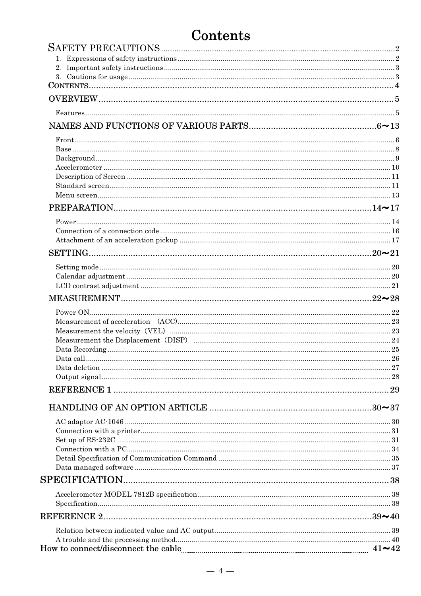# Contents

| Data call |  |
|-----------|--|
|           |  |
|           |  |
|           |  |
|           |  |
|           |  |
|           |  |
|           |  |
|           |  |
|           |  |
|           |  |
|           |  |
|           |  |
|           |  |
|           |  |
|           |  |
|           |  |
|           |  |
|           |  |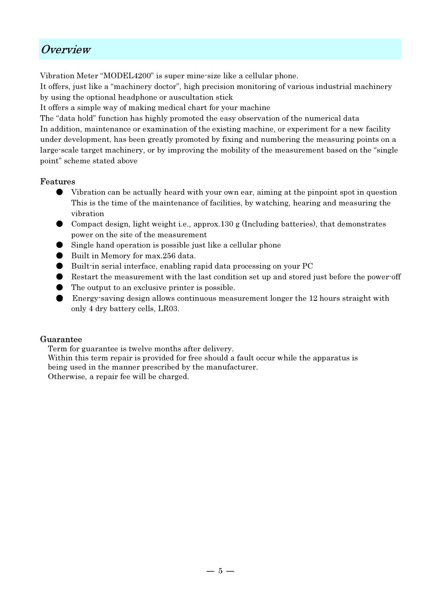# Overview

Vibration Meter "MODEL4200" is super mine-size like a cellular phone.

It offers, just like a "machinery doctor", high precision monitoring of various industrial machinery by using the optional headphone or auscultation stick

It offers a simple way of making medical chart for your machine

The "data hold" function has highly promoted the easy observation of the numerical data In addition, maintenance or examination of the existing machine, or experiment for a new facility under development, has been greatly promoted by fixing and numbering the measuring points on a large-scale target machinery, or by improving the mobility of the measurement based on the "single point" scheme stated above

# Features

- Vibration can be actually heard with your own ear, aiming at the pinpoint spot in question This is the time of the maintenance of facilities, by watching, hearing and measuring the vibration
- Compact design, light weight i.e., approx.130 g (Including batteries), that demonstrates power on the site of the measurement
- Single hand operation is possible just like a cellular phone
- Built in Memory for max.256 data.
- Built-in serial interface, enabling rapid data processing on your PC
- Restart the measurement with the last condition set up and stored just before the power-off
- The output to an exclusive printer is possible.
- Energy-saving design allows continuous measurement longer the 12 hours straight with only 4 dry battery cells, LR03.

# Guarantee

Term for guarantee is twelve months after delivery.

Within this term repair is provided for free should a fault occur while the apparatus is being used in the manner prescribed by the manufacturer.

Otherwise, a repair fee will be charged.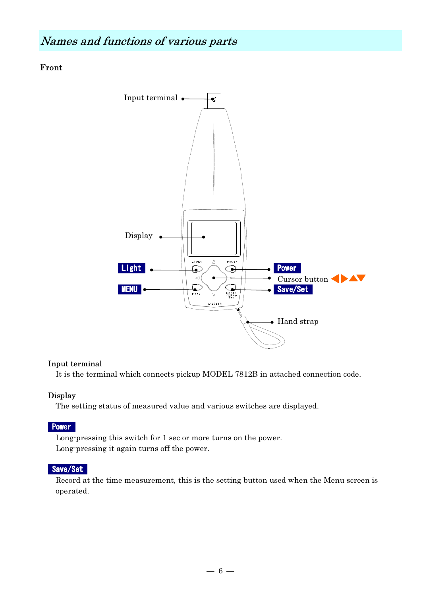Front



# Input terminal

It is the terminal which connects pickup MODEL 7812B in attached connection code.

# Display

The setting status of measured value and various switches are displayed.

# **Power**

Long-pressing this switch for 1 sec or more turns on the power. Long-pressing it again turns off the power.

# Save/Set

Record at the time measurement, this is the setting button used when the Menu screen is operated.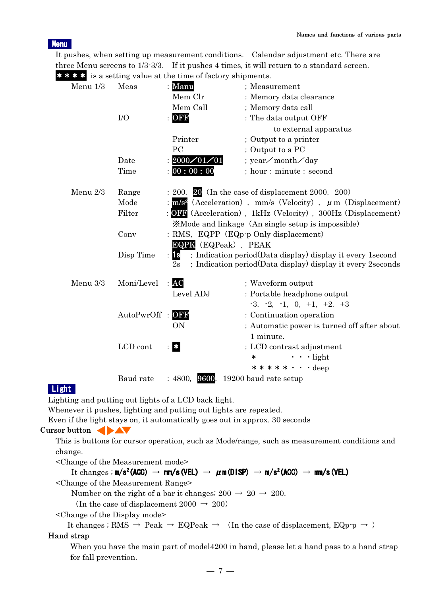#### **Menu**

It pushes, when setting up measurement conditions. Calendar adjustment etc. There are three Menu screens to  $1/3.3/3$ . If it pushes 4 times, it will return to a standard screen. \*\*\* is a setting value at the time of factory shipments.

| Menu $1/3$ | Meas        | <b>Extra</b> is a setting value at the time of factory shipments.<br>Manu | ; Measurement                                                                                                              |
|------------|-------------|---------------------------------------------------------------------------|----------------------------------------------------------------------------------------------------------------------------|
|            |             | Mem Clr                                                                   | ; Memory data clearance                                                                                                    |
|            |             | Mem Call                                                                  | ; Memory data call                                                                                                         |
|            | I/O         | OFF                                                                       | ; The data output OFF                                                                                                      |
|            |             |                                                                           | to external apparatus                                                                                                      |
|            |             | Printer                                                                   | ; Output to a printer                                                                                                      |
|            |             | PC                                                                        | ; Output to a PC                                                                                                           |
|            | Date        | 2000/01/01                                                                | ; year∕month∕day                                                                                                           |
|            | Time        | 00:00:00                                                                  | ; hour : minute : second                                                                                                   |
| Menu 2/3   | Range       |                                                                           | $: 200, 20$ (In the case of displacement 2000, 200)                                                                        |
|            | Mode        |                                                                           | : $m/s^2$ (Acceleration), mm/s (Velocity), $\mu$ m (Displacement)                                                          |
|            | Filter      |                                                                           | <b>OFF</b> (Acceleration), 1kHz (Velocity), 300Hz (Displacement)                                                           |
|            |             |                                                                           | <b>XMode and linkage</b> (An single setup is impossible)                                                                   |
|            | Conv        |                                                                           | : RMS, EQPP $(EQp \cdot p \text{ Only displacement})$                                                                      |
|            |             | <b>EQPK</b> (EQPeak), PEAK                                                |                                                                                                                            |
|            | Disp Time   | <b>is</b><br>2s                                                           | ; Indication period(Data display) display it every 1second<br>; Indication period(Data display) display it every 2 seconds |
| Menu 3/3   | Moni/Level  | AC                                                                        | ; Waveform output                                                                                                          |
|            |             | Level ADJ                                                                 | ; Portable headphone output                                                                                                |
|            |             |                                                                           | $-3, -2, -1, 0, +1, +2, +3$                                                                                                |
|            | AutoPwrOff: | OFF                                                                       | ; Continuation operation                                                                                                   |
|            |             | <b>ON</b>                                                                 | ; Automatic power is turned off after about                                                                                |
|            |             |                                                                           | 1 minute.                                                                                                                  |
|            | LCD cont    | $\bullet$                                                                 | ; LCD contrast adjustment                                                                                                  |
|            |             |                                                                           | $\cdot \cdot \cdot$ light<br>$\ast$                                                                                        |
|            |             |                                                                           | $***$ * * * $\cdot$ $\cdot$ deep                                                                                           |
|            | Baud rate   | : 4800, 9600,                                                             | 19200 baud rate setup                                                                                                      |

# Light

Lighting and putting out lights of a LCD back light.

Whenever it pushes, lighting and putting out lights are repeated.

Even if the light stays on, it automatically goes out in approx. 30 seconds

# Cursor button

This is buttons for cursor operation, such as Mode/range, such as measurement conditions and change.

<Change of the Measurement mode>

It changes ;  $m/s^2$ (ACC)  $\rightarrow$  mm/s(VEL)  $\rightarrow \mu$  m(DISP)  $\rightarrow$  m/s<sup>2</sup>(ACC)  $\rightarrow$  mm/s(VEL)

<Change of the Measurement Range>

Number on the right of a bar it changes;  $200 \rightarrow 20 \rightarrow 200$ .

(In the case of displacement 2000  $\rightarrow$  200)

<Change of the Display mode>

It changes ; RMS  $\rightarrow$  Peak  $\rightarrow$  EQPeak  $\rightarrow$  (In the case of displacement, EQp-p  $\rightarrow$ ) Hand strap

# When you have the main part of model4200 in hand, please let a hand pass to a hand strap for fall prevention.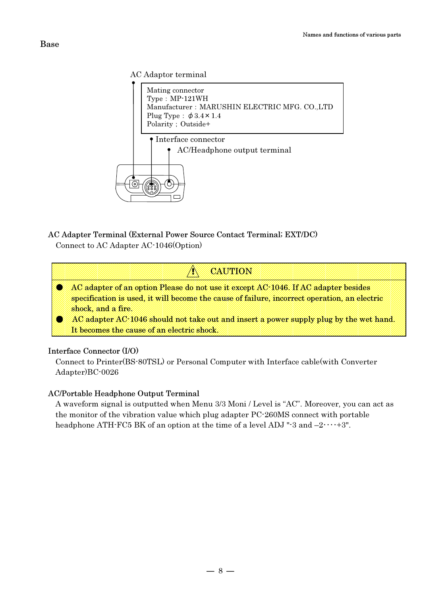#### AC Adaptor terminal



# AC Adapter Terminal (External Power Source Contact Terminal; EXT/DC)

Connect to AC Adapter AC-1046(Option)



### It becomes the cause of an electric shock.

#### Interface Connector (I/O)

Connect to Printer(BS-80TSL) or Personal Computer with Interface cable(with Converter Adapter)BC-0026

# AC/Portable Headphone Output Terminal

A waveform signal is outputted when Menu 3/3 Moni / Level is "AC". Moreover, you can act as the monitor of the vibration value which plug adapter PC-260MS connect with portable headphone ATH-FC5 BK of an option at the time of a level ADJ "-3 and  $-2 \cdots +3$ ".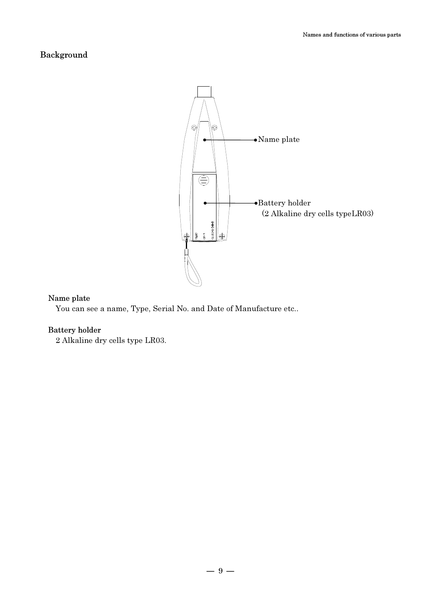# Background



#### Name plate

You can see a name, Type, Serial No. and Date of Manufacture etc..

#### Battery holder

2 Alkaline dry cells type LR03.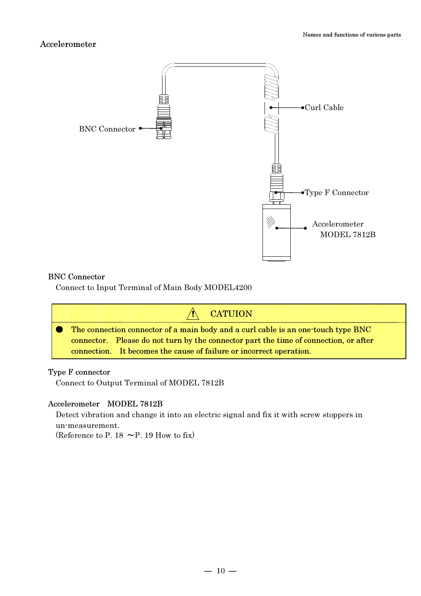

#### BNC Connector

Connect to Input Terminal of Main Body MODEL4200



#### Type F connector

Connect to Output Terminal of MODEL 7812B

#### Accelerometer MODEL 7812B

 Detect vibration and change it into an electric signal and fix it with screw stoppers in un-measurement.

(Reference to P. 18  $\sim$  P. 19 How to fix)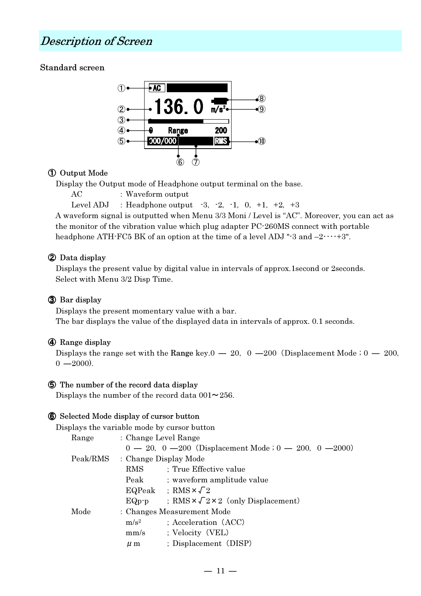# Description of Screen

# Standard screen



# ① Output Mode

Display the Output mode of Headphone output terminal on the base.

```
AC : Waveform output
```

```
Level ADJ : Headphone output -3, -2, -1, 0, +1, +2, +3
```
A waveform signal is outputted when Menu 3/3 Moni / Level is "AC". Moreover, you can act as the monitor of the vibration value which plug adapter PC-260MS connect with portable headphone ATH-FC5 BK of an option at the time of a level ADJ "-3 and  $-2 \cdots +3$ ".

# ② Data display

Displays the present value by digital value in intervals of approx.1second or 2seconds. Select with Menu 3/2 Disp Time.

# ③ Bar display

Displays the present momentary value with a bar.

The bar displays the value of the displayed data in intervals of approx. 0.1 seconds.

# ④ Range display

Displays the range set with the Range key. $0 - 20$ ,  $0 - 200$  (Displacement Mode ;  $0 - 200$ ,  $0 -2000$ .

# ⑤ The number of the record data display

Displays the number of the record data  $001 \sim 256$ .

# ⑥ Selected Mode display of cursor button

Displays the variable mode by cursor button

| Range    | : Change Level Range |                                                                    |
|----------|----------------------|--------------------------------------------------------------------|
|          |                      | $0 - 20$ , $0 - 200$ (Displacement Mode ; $0 - 200$ , $0 - 2000$ ) |
| Peak/RMS |                      | : Change Display Mode                                              |
|          | RMS                  | ; True Effective value                                             |
|          | Peak                 | ; waveform amplitude value                                         |
|          |                      | EQPeak ; RMS $\times \sqrt{2}$                                     |
|          | $EQp\neg p$          | ; RMS $\times \sqrt{2} \times 2$ (only Displacement)               |
| Mode     |                      | : Changes Measurement Mode                                         |
|          | $m/s^2$              | ; Acceleration (ACC)                                               |
|          | mm/s                 | ; Velocity (VEL)                                                   |
|          | $\mu$ m              | ; Displacement (DISP)                                              |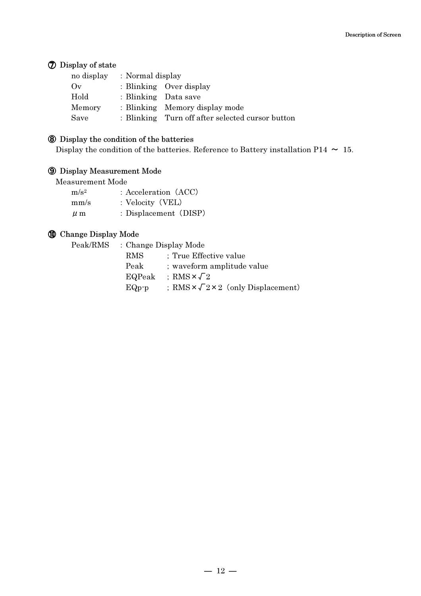# ⑦ Display of state

| no display | : Normal display     |                                                  |
|------------|----------------------|--------------------------------------------------|
| (y(x))     |                      | : Blinking Over display                          |
| Hold       | : Blinking Data save |                                                  |
| Memory     |                      | : Blinking Memory display mode                   |
| Save       |                      | : Blinking Turn off after selected cursor button |

#### ⑧ Display the condition of the batteries

Display the condition of the batteries. Reference to Battery installation P14  $\sim$  15.

# ⑨ Display Measurement Mode

Measurement Mode

| m/s <sup>2</sup> | : Acceleration (ACC)  |
|------------------|-----------------------|
| mm/s             | : Velocity (VEL)      |
| $\mu$ m          | : Displacement (DISP) |

# ⑩ Change Display Mode

| Peak/RMS : Change Display Mode |                                                      |
|--------------------------------|------------------------------------------------------|
| RMS                            | ; True Effective value                               |
| Peak                           | ; waveform amplitude value                           |
|                                | EQPeak ; RMS $\times \sqrt{2}$                       |
| $EQp-p$                        | : RMS $\times \sqrt{2} \times 2$ (only Displacement) |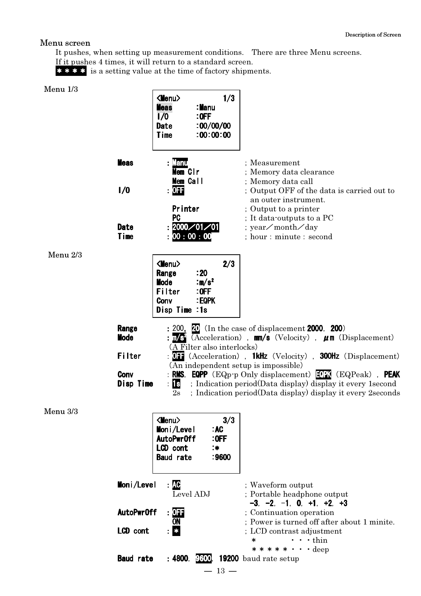# Menu screen

It pushes, when setting up measurement conditions. There are three Menu screens.

If it pushes 4 times, it will return to a standard screen.

\*\*\*\* is a setting value at the time of factory shipments.

| Menu 1/3 |                  |                                      |                                         |                                                                                                                        |
|----------|------------------|--------------------------------------|-----------------------------------------|------------------------------------------------------------------------------------------------------------------------|
|          |                  | <menu></menu>                        | 1/3                                     |                                                                                                                        |
|          |                  | <b>Meas</b>                          | :Manu                                   |                                                                                                                        |
|          |                  | 1/0<br>Date                          | $:$ OFF<br>100/00/00                    |                                                                                                                        |
|          |                  | Time                                 | :00:00:00                               |                                                                                                                        |
|          |                  |                                      |                                         |                                                                                                                        |
|          | <b>Meas</b>      | <b>: Manu</b>                        |                                         | : Measurement                                                                                                          |
|          |                  | Mem CIr                              |                                         | ; Memory data clearance                                                                                                |
|          |                  | Mem Call                             |                                         | ; Memory data call                                                                                                     |
|          | 1/0              | : 0F                                 |                                         | : Output OFF of the data is carried out to<br>an outer instrument.                                                     |
|          |                  | <b>Printer</b>                       |                                         | ; Output to a printer                                                                                                  |
|          |                  | <b>PC</b>                            |                                         | ; It data-outputs to a PC                                                                                              |
|          | Date             |                                      | $\frac{1}{2}2000 \diagup 01 \diagup 01$ | ; year∕month∕day                                                                                                       |
|          | Time             | 00:00:00                             |                                         | ; hour : minute : second                                                                                               |
| Menu 2/3 |                  |                                      |                                         |                                                                                                                        |
|          |                  | $\langle$ Menu $\rangle$             | 2/3                                     |                                                                                                                        |
|          |                  | Range                                | : 20                                    |                                                                                                                        |
|          |                  | <b>Mode</b>                          | : $m/s^2$                               |                                                                                                                        |
|          |                  | Filter                               | $:$ OFF                                 |                                                                                                                        |
|          |                  | Conv<br>Disp Time :1s                | :EQPK                                   |                                                                                                                        |
|          |                  |                                      |                                         |                                                                                                                        |
|          | Range            |                                      |                                         | : 200, $\Omega$ (In the case of displacement 2000, 200)                                                                |
|          | <b>Mode</b>      | $\mathsf{H} \mathsf{m}/\mathsf{s}^2$ |                                         | (Acceleration), $mn/s$ (Velocity), $\mu$ m (Displacement)                                                              |
|          |                  |                                      | (A Filter also interlocks)              |                                                                                                                        |
|          | Filter           |                                      |                                         | <b>011</b> (Acceleration), <b>1kHz</b> (Velocity), <b>300Hz</b> (Displacement)<br>(An independent setup is impossible) |
|          | Conv             |                                      |                                         | <b>RMS, EQPP</b> (EQp-p Only displacement) $\boxed{CPN}$ (EQPeak), <b>PEAK</b>                                         |
|          | Disp Time        | 1s                                   |                                         | ; Indication period(Data display) display it every 1 second                                                            |
|          |                  | 2s                                   |                                         | ; Indication period(Data display) display it every 2 seconds                                                           |
|          |                  |                                      |                                         |                                                                                                                        |
| Menu 3/3 |                  | $\langle$ Menu $\rangle$             | 3/3                                     |                                                                                                                        |
|          |                  | Moni/Level                           | : AC                                    |                                                                                                                        |
|          |                  | AutoPwr0ff                           | $:$ OFF                                 |                                                                                                                        |
|          |                  | LCD cont                             | : $\ast$                                |                                                                                                                        |
|          |                  | <b>Baud rate</b>                     | :9600                                   |                                                                                                                        |
|          |                  |                                      |                                         |                                                                                                                        |
|          | Moni/Level       | : AC                                 |                                         | ; Waveform output                                                                                                      |
|          |                  | Level ADJ                            |                                         | ; Portable headphone output                                                                                            |
|          |                  |                                      |                                         | $-3, -2, -1, 0, +1, +2, +3$                                                                                            |
|          | AutoPwr0ff       | a OFF                                |                                         | ; Continuation operation                                                                                               |
|          |                  | ON                                   |                                         | ; Power is turned off after about 1 minite.                                                                            |
|          | LCD cont         | $\bullet$                            |                                         | ; LCD contrast adjustment<br>$\cdot$ $\cdot$ thin<br>$\ast$                                                            |
|          |                  |                                      |                                         | $***$ * * * · · deep                                                                                                   |
|          | <b>Baud rate</b> |                                      |                                         | : 4800, 9600, 19200 baud rate setup                                                                                    |
|          |                  |                                      | $-13 -$                                 |                                                                                                                        |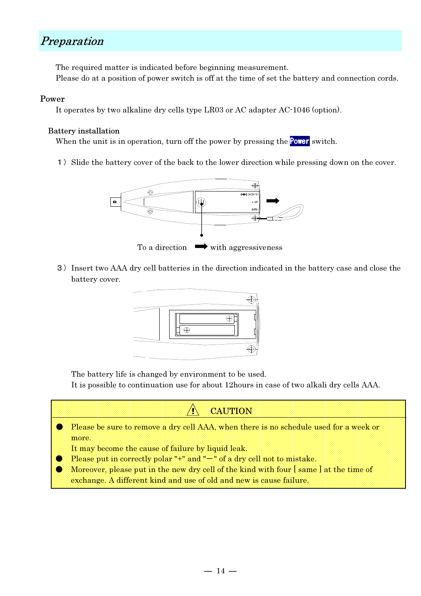# Preparation

The required matter is indicated before beginning measurement.

# Please do at a position of power switch is off at the time of set the battery and connection cords.

#### Power

It operates by two alkaline dry cells type LR03 or AC adapter AC-1046 (option).

### Battery installation

When the unit is in operation, turn off the power by pressing the **Power** switch.

1) Slide the battery cover of the back to the lower direction while pressing down on the cover.



3)Insert two AAA dry cell batteries in the direction indicated in the battery case and close the battery cover.



The battery life is changed by environment to be used.

It is possible to continuation use for about 12hours in case of two alkali dry cells AAA.

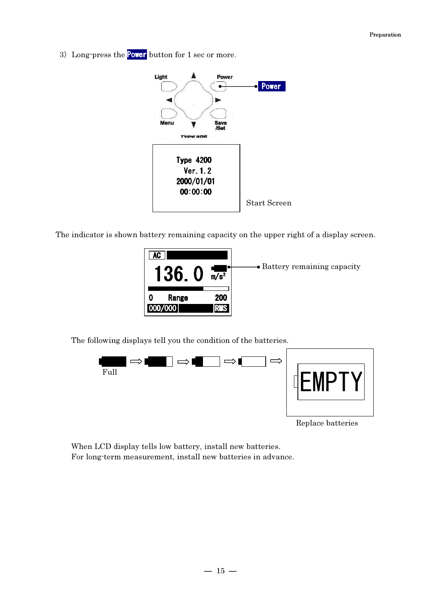3) Long-press the **Power** button for 1 sec or more.



The indicator is shown battery remaining capacity on the upper right of a display screen.



The following displays tell you the condition of the batteries.



Replace batteries

When LCD display tells low battery, install new batteries. For long-term measurement, install new batteries in advance.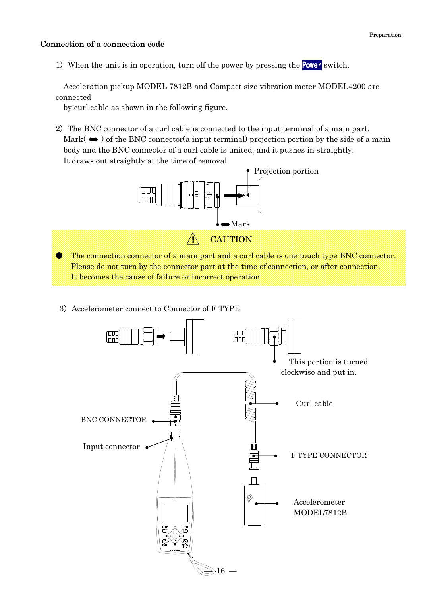### Connection of a connection code

1) When the unit is in operation, turn off the power by pressing the **Power** switch.

Acceleration pickup MODEL 7812B and Compact size vibration meter MODEL4200 are connected

by curl cable as shown in the following figure.

2) The BNC connector of a curl cable is connected to the input terminal of a main part. Mark( $\leftrightarrow$ ) of the BNC connector(a input terminal) projection portion by the side of a main body and the BNC connector of a curl cable is united, and it pushes in straightly. It draws out straightly at the time of removal.



3) Accelerometer connect to Connector of F TYPE.

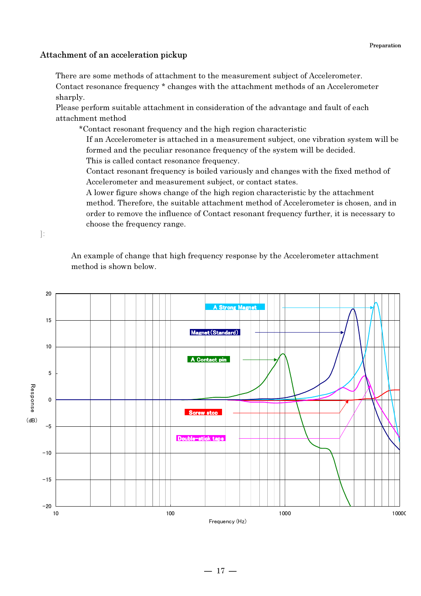### Attachment of an acceleration pickup

 There are some methods of attachment to the measurement subject of Accelerometer. Contact resonance frequency \* changes with the attachment methods of an Accelerometer sharply.

Please perform suitable attachment in consideration of the advantage and fault of each attachment method

\*Contact resonant frequency and the high region characteristic

If an Accelerometer is attached in a measurement subject, one vibration system will be formed and the peculiar resonance frequency of the system will be decided. This is called contact resonance frequency.

Contact resonant frequency is boiled variously and changes with the fixed method of Accelerometer and measurement subject, or contact states.

A lower figure shows change of the high region characteristic by the attachment method. Therefore, the suitable attachment method of Accelerometer is chosen, and in order to remove the influence of Contact resonant frequency further, it is necessary to choose the frequency range.

]:

An example of change that high frequency response by the Accelerometer attachment method is shown below.

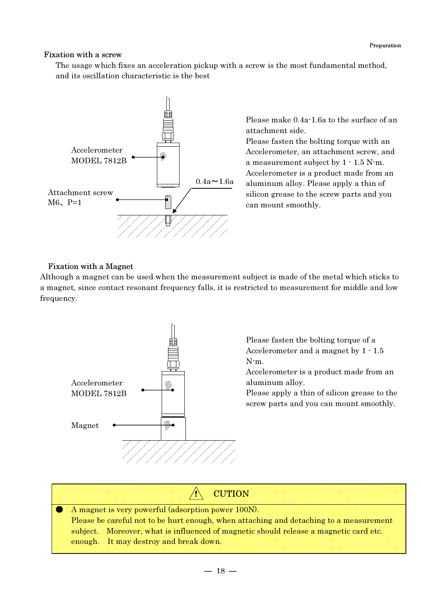# Fixation with a screw

The usage which fixes an acceleration pickup with a screw is the most fundamental method, and its oscillation characteristic is the best



Please make 0.4a-1.6a to the surface of an attachment side.

Please fasten the bolting torque with an Accelerometer, an attachment screw, and a measurement subject by 1 - 1.5 N-m. Accelerometer is a product made from an aluminum alloy. Please apply a thin of silicon grease to the screw parts and you can mount smoothly.

# Fixation with a Magnet

Although a magnet can be used when the measurement subject is made of the metal which sticks to a magnet, since contact resonant frequency falls, it is restricted to measurement for middle and low frequency.



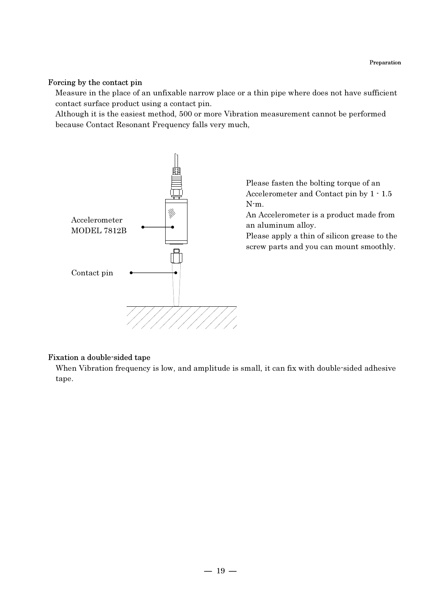Preparation

#### Forcing by the contact pin

Measure in the place of an unfixable narrow place or a thin pipe where does not have sufficient contact surface product using a contact pin.

Although it is the easiest method, 500 or more Vibration measurement cannot be performed because Contact Resonant Frequency falls very much,



#### Fixation a double-sided tape

When Vibration frequency is low, and amplitude is small, it can fix with double-sided adhesive tape.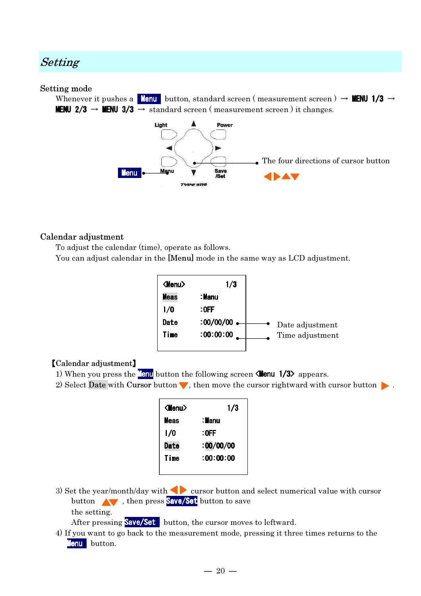# Setting

#### Setting mode

Whenever it pushes a Menu button, standard screen (measurement screen)  $\rightarrow$  MENU 1/3  $\rightarrow$ **MENU 2/3**  $\rightarrow$  **MENU 3/3**  $\rightarrow$  standard screen (measurement screen) it changes.



### Calendar adjustment

To adjust the calendar (time), operate as follows.

You can adjust calendar in the [Menu] mode in the same way as LCD adjustment.

| $<$ Menu $>$ | 1/3       |                 |
|--------------|-----------|-----------------|
| <b>Meas</b>  | : Manu    |                 |
| 1/0          | $:$ OFF   |                 |
| Date         | :00/00/00 | Date adjustment |
| Time         | :00:00:00 | Time adjustment |
|              |           |                 |

#### 【Calendar adjustment】

- 1) When you press the **Menu** button the following screen **Kenu 1/3>** appears.
- 2) Select Date with Cursor button  $\blacktriangledown$ , then move the cursor rightward with cursor button  $\blacktriangleright$ .

| $\langle$ Menu $\rangle$ | 1/3       |
|--------------------------|-----------|
| <b>Meas</b>              | : Manu    |
| 1/0                      | :0FF      |
| Date                     | :00/00/00 |
| Time                     | :00:00:00 |
|                          |           |

3) Set the year/month/day with cursor button and select numerical value with cursor button **AV**, then press **Save/Set** button to save the setting.

After pressing **Save/Set** button, the cursor moves to leftward.

4) If you want to go back to the measurement mode, pressing it three times returns to the Menu button.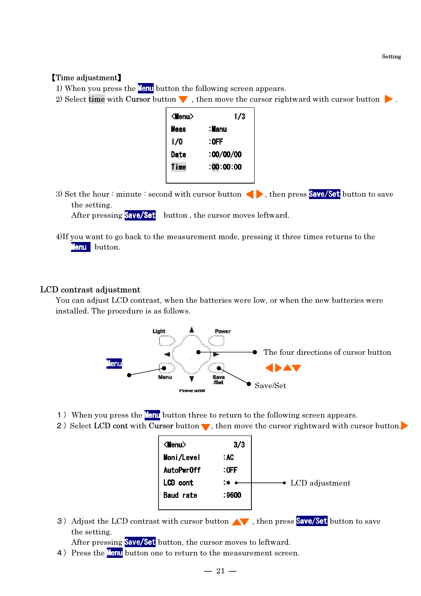Setting

#### 【Time adjustment】

1) When you press the **Menu** button the following screen appears.

2) Select time with Cursor button  $\blacktriangledown$ , then move the cursor rightward with cursor button  $\blacktriangleright$ .

| $\langle$ Menu $\rangle$ | 1/3       |
|--------------------------|-----------|
| <b>Meas</b>              | : Manu    |
| 1/0                      | :OFF      |
| Date                     | 100/00/00 |
| Time                     | :00:00:00 |
|                          |           |

3) Set the hour : minute : second with cursor button  $\langle \rangle$ , then press **Save/Set** button to save the setting.

After pressing **Save/Set** button, the cursor moves leftward.

4)If you want to go back to the measurement mode, pressing it three times returns to the Menu button.

#### LCD contrast adjustment

You can adjust LCD contrast, when the batteries were low, or when the new batteries were installed. The procedure is as follows.



- 1) When you press the **Menu** button three to return to the following screen appears.
- 2) Select LCD cont with Cursor button  $\blacktriangledown$ , then move the cursor rightward with cursor button.

3) Adjust the LCD contrast with cursor button  $\wedge\cdots$ , then press **Save/Set** button to save the setting.

After pressing Save/Set button, the cursor moves to leftward.

4) Press the **Menu** button one to return to the measurement screen.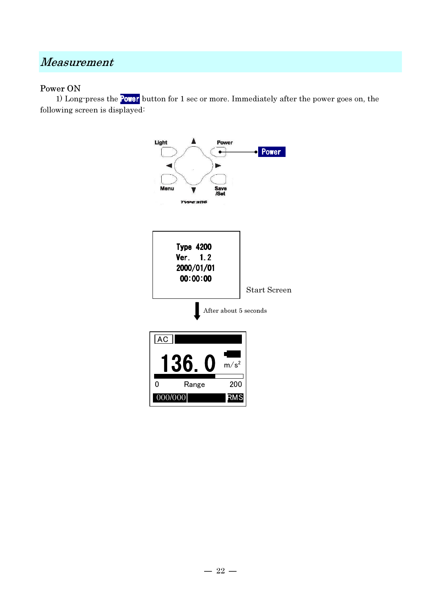# Measurement

# Power ON

 1) Long-press the Power button for 1 sec or more. Immediately after the power goes on, the following screen is displayed:

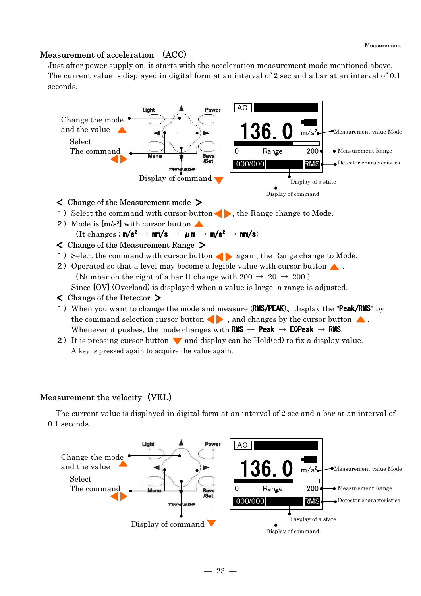### Measurement of acceleration (ACC)

Just after power supply on, it starts with the acceleration measurement mode mentioned above. The current value is displayed in digital form at an interval of 2 sec and a bar at an interval of 0.1 seconds.



$$
(\text{It changes} : \text{m/s}^2 \to \text{mm/s} \to \mu \text{m} \to \text{m/s}^2 \to \text{mm/s})
$$

- < Change of the Measurement Range >
- 1) Select the command with cursor button  $\bullet$  again, the Range change to Mode.
- 2) Operated so that a level may become a legible value with cursor button  $\triangle$ . (Number on the right of a bar It change with  $200 \rightarrow 20 \rightarrow 200$ .) Since [OV] (Overload) is displayed when a value is large, a range is adjusted.
- < Change of the Detector >
- 1) When you want to change the mode and measure, (RMS/PEAK), display the "Peak/RMS" by the command selection cursor button  $\bullet$ , and changes by the cursor button  $\bullet$ . Whenever it pushes, the mode changes with RMS  $\rightarrow$  Peak  $\rightarrow$  EQPeak  $\rightarrow$  RMS.
- 2) It is pressing cursor button  $\blacktriangledown$  and display can be Hold(ed) to fix a display value. A key is pressed again to acquire the value again.

# Measurement the velocity (VEL)

The current value is displayed in digital form at an interval of 2 sec and a bar at an interval of 0.1 seconds.

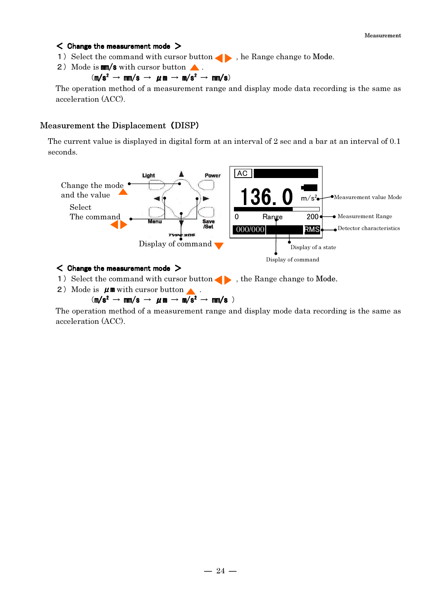Measurement

#### $<$  Change the measurement mode  $>$

- 1) Select the command with cursor button  $\bullet$ , he Range change to Mode.
- 2) Mode is  $mm/s$  with cursor button  $\triangle$ .

# $(m/s^2 \rightarrow mm/s \rightarrow \mu m \rightarrow m/s^2 \rightarrow mm/s)$

The operation method of a measurement range and display mode data recording is the same as acceleration (ACC).

# Measurement the Displacement (DISP)

The current value is displayed in digital form at an interval of 2 sec and a bar at an interval of 0.1 seconds.



### $\leq$  Change the measurement mode  $>$

- 1) Select the command with cursor button  $\blacklozenge$ , the Range change to Mode.
- 2) Mode is  $\mu \mathbf{m}$  with cursor button  $\blacktriangle$ .

 $(m/s^2 \rightarrow mm/s \rightarrow \mu m \rightarrow m/s^2 \rightarrow mm/s)$ 

The operation method of a measurement range and display mode data recording is the same as acceleration (ACC).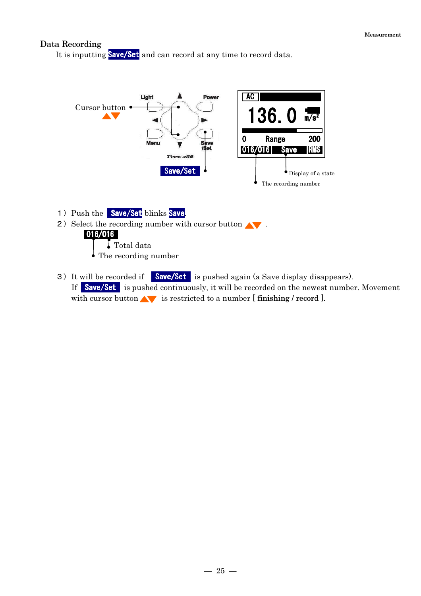#### Data Recording

It is inputting **Save/Set** and can record at any time to record data.



- 1) Push the Save/Set blinks Save.
- 2) Select the recording number with cursor button  $\blacktriangle$ .

#### 016/016

 Total data The recording number

3) It will be recorded if **Save/Set** is pushed again (a Save display disappears). If Save/Set is pushed continuously, it will be recorded on the newest number. Movement with cursor button  $\blacktriangle$  is restricted to a number [ finishing / record ].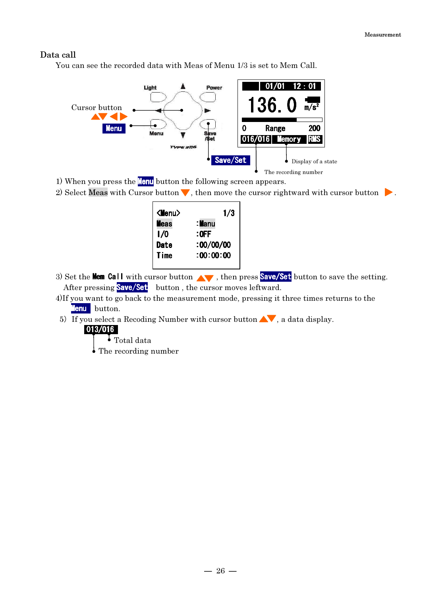#### Data call

You can see the recorded data with Meas of Menu 1/3 is set to Mem Call.



1) When you press the **Menu** button the following screen appears.

2) Select Meas with Cursor button  $\blacktriangledown$ , then move the cursor rightward with cursor button  $\blacktriangleright$ .

| 1/3       | <menu></menu> |
|-----------|---------------|
| :Manu     | <b>Meas</b>   |
| $:$ OFF   | l/0           |
| 100/00/00 | Date          |
| :00:00:00 | Time          |
|           |               |

- 3) Set the **Mem Call** with cursor button  $\wedge\cdots\wedge\cdots$ , then press **Save/Set** button to save the setting. After pressing **Save/Set** button, the cursor moves leftward.
- 4)If you want to go back to the measurement mode, pressing it three times returns to the Menu button.
- 5) If you select a Recoding Number with cursor button  $\blacktriangle\blacktriangledown$ , a data display.
	- 013/016
		- Total data
		- The recording number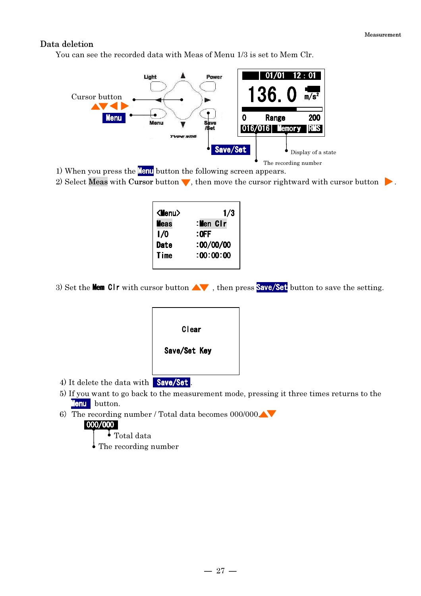Measurement

### Data deletion

You can see the recorded data with Meas of Menu 1/3 is set to Mem Clr.



1) When you press the **Menu** button the following screen appears.

2) Select Meas with Cursor button  $\blacktriangledown$ , then move the cursor rightward with cursor button  $\blacktriangleright$ .

| <menu></menu> | 1/3       |
|---------------|-----------|
| <b>Meas</b>   | :Men Clr  |
| 1/0           | $:$ OFF   |
| Date          | 100/00/00 |
| Time          | :00:00:00 |

3) Set the **Mem CIr** with cursor button  $\Delta$ , then press **Save/Set** button to save the setting.

| Clear        |
|--------------|
| Save/Set Key |
| הו<br>m      |

- 4) It delete the data with Save/Set.
- 5) If you want to go back to the measurement mode, pressing it three times returns to the Menu button.
- 6) The recording number / Total data becomes  $000/000$

#### 000/000

Total data

The recording number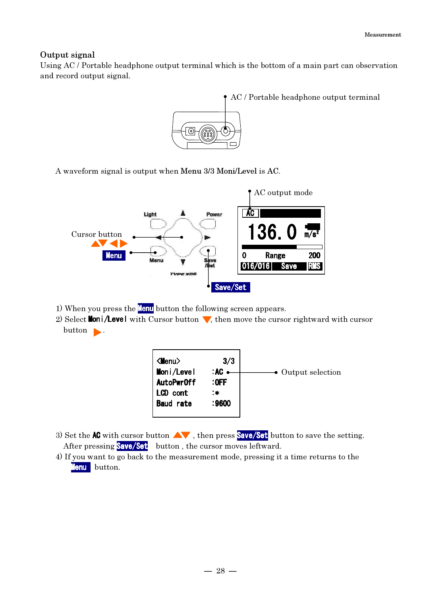### Output signal

Using AC / Portable headphone output terminal which is the bottom of a main part can observation and record output signal.



A waveform signal is output when Menu 3/3 Moni/Level is AC.



- 1) When you press the **Menu** button the following screen appears.
- 2) Select **Moni/Level** with Cursor button  $\blacktriangledown$ , then move the cursor rightward with cursor button .



- 3) Set the **AC** with cursor button  $\Delta\mathbf{V}$ , then press **Save/Set** button to save the setting. After pressing **Save/Set** button, the cursor moves leftward.
- 4) If you want to go back to the measurement mode, pressing it a time returns to the Menu button.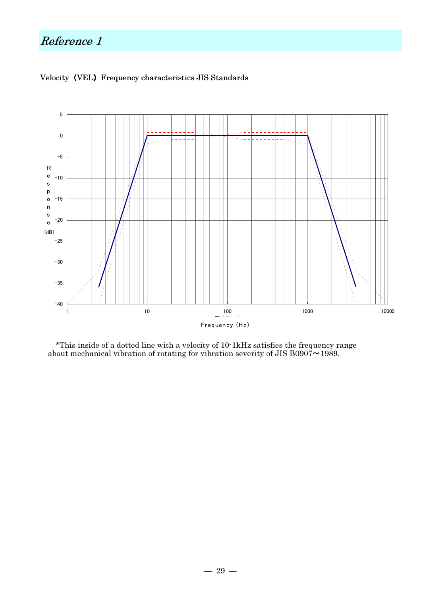# Reference 1



### Velocity (VEL) Frequency characteristics JIS Standards

\*This inside of a dotted line with a velocity of 10-1kHz satisfies the frequency range about mechanical vibration of rotating for vibration severity of JIS B0907 $\sim$ 1989.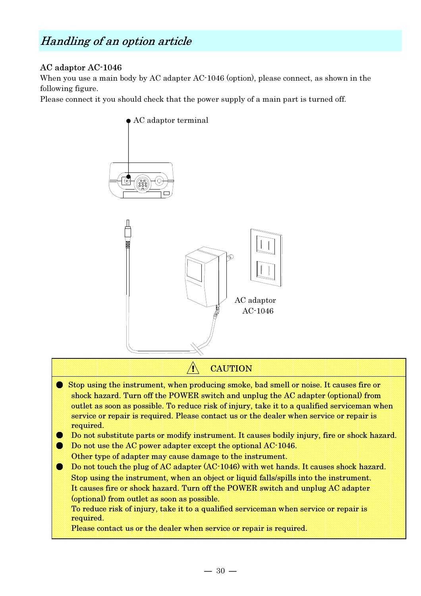# Handling of an option article

# AC adaptor AC-1046

When you use a main body by AC adapter AC-1046 (option), please connect, as shown in the following figure.

Please connect it you should check that the power supply of a main part is turned off.



# ! CAUTION

- Stop using the instrument, when producing smoke, bad smell or noise. It causes fire or shock hazard. Turn off the POWER switch and unplug the AC adapter (optional) from outlet as soon as possible. To reduce risk of injury, take it to a qualified serviceman when service or repair is required. Please contact us or the dealer when service or repair is required.
- Do not substitute parts or modify instrument. It causes bodily injury, fire or shock hazard.
- **Do not use the AC power adapter except the optional AC-1046.** Other type of adapter may cause damage to the instrument.
- Do not touch the plug of AC adapter (AC-1046) with wet hands. It causes shock hazard. Stop using the instrument, when an object or liquid falls/spills into the instrument. It causes fire or shock hazard. Turn off the POWER switch and unplug AC adapter (optional) from outlet as soon as possible.
	- To reduce risk of injury, take it to a qualified serviceman when service or repair is required.

Please contact us or the dealer when service or repair is required.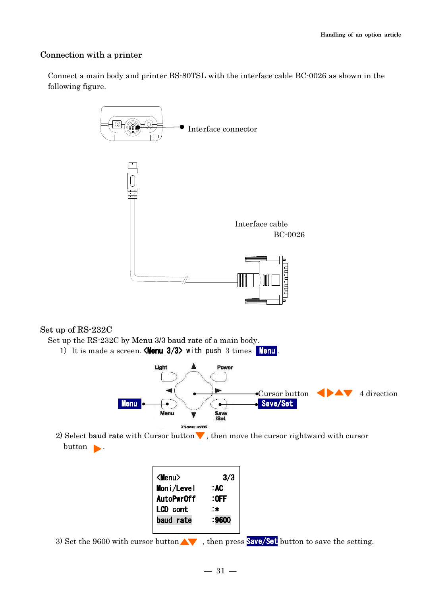# Connection with a printer

Connect a main body and printer BS-80TSL with the interface cable BC-0026 as shown in the following figure.



# Set up of RS-232C

Set up the RS-232C by Menu 3/3 baud rate of a main body.



2) Select baud rate with Cursor button  $\blacktriangledown$ , then move the cursor rightward with cursor  $button$  .

| $\langle$ Menu $\rangle$ | 3/3     |
|--------------------------|---------|
| Moni/Level               | : AC    |
| AutoPwr0ff               | $:$ OFF |
| <b>LCD</b> cont          | :*      |
| baud rate                | :9600   |
|                          |         |

3) Set the 9600 with cursor button  $\blacktriangle\blacktriangledown$ , then press **Save/Set** button to save the setting.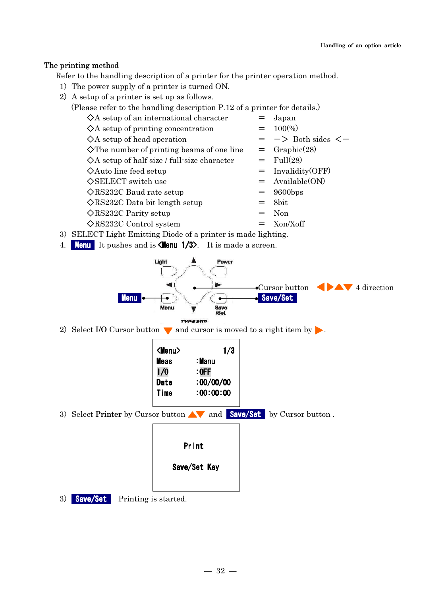# The printing method

Refer to the handling description of a printer for the printer operation method.

- 1) The power supply of a printer is turned ON.
- 2) A setup of a printer is set up as follows.
	- (Please refer to the handling description P.12 of a printer for details.)

| $\diamond$ A setup of an international character      |     | Japan                              |
|-------------------------------------------------------|-----|------------------------------------|
| $\Diamond A$ setup of printing concentration          |     | $= 100\%)$                         |
| $\diamond$ A setup of head operation                  |     | $=$ $\rightarrow$ Both sides $\lt$ |
| $\Diamond$ The number of printing beams of one line   |     | $=$ Graphic(28)                    |
| $\Diamond A$ setup of half size / full-size character |     | $=$ Full(28)                       |
| $\diamond$ Auto line feed setup                       |     | $=$ Invalidity(OFF)                |
| $\Diamond$ SELECT switch use                          |     | $=$ Available(ON)                  |
| $\Diamond$ RS232C Baud rate setup                     |     | $= 9600 \text{bps}$                |
| $\Diamond$ RS232C Data bit length setup               |     | $=$ 8bit                           |
| $\Diamond$ RS232C Parity setup                        | $=$ | Non                                |
| $\Diamond$ RS232C Control system                      | $=$ | Xon/Xoff                           |
|                                                       |     |                                    |

- 3) SELECT Light Emitting Diode of a printer is made lighting.
- 4. Menu It pushes and is <Menu 1/3>. It is made a screen.



2) Select I/O Cursor button  $\blacktriangledown$  and cursor is moved to a right item by  $\blacktriangleright$ .

| 1/3       | <menu></menu> |
|-----------|---------------|
| : Manu    | <b>Meas</b>   |
| $:$ OFF   | 1/0           |
| :00/00/00 | <b>Date</b>   |
| :00:00:00 | Time          |

3) Select Printer by Cursor button  $\triangle\blacktriangledown$  and **Save/Set** by Cursor button .

| Pr int       |  |
|--------------|--|
| Save/Set Key |  |

3) **Save/Set** Printing is started.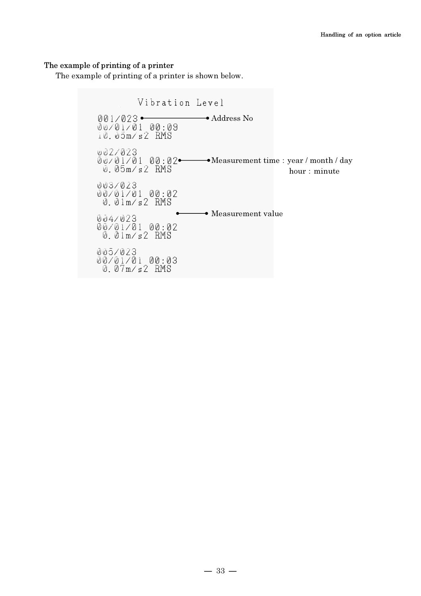#### The example of printing of a printer

The example of printing of a printer is shown below.

Vibration Level  $001/023$ <br>  $00/01/01$ <br>  $00.03$ <br>  $0.05$ m/s2<br>
RMS 002/023  $\emptyset$   $\emptyset$  /  $\emptyset$  1 /  $\emptyset$  1  $\emptyset$   $\emptyset$  :  $\emptyset$  2  $\bullet$   $\hspace{1.5pt}$   $\hspace{1.5pt}$  Measurement time : year / month / day hour: minute 003/023 00:02<br>0.01m/s2 RMS  $0.04$ /023<br>  $0.01$ /01/01 00:02<br>
0.01m/s2 RMS 005/023 00/01/01 00:03<br>0.07m/s2 RMS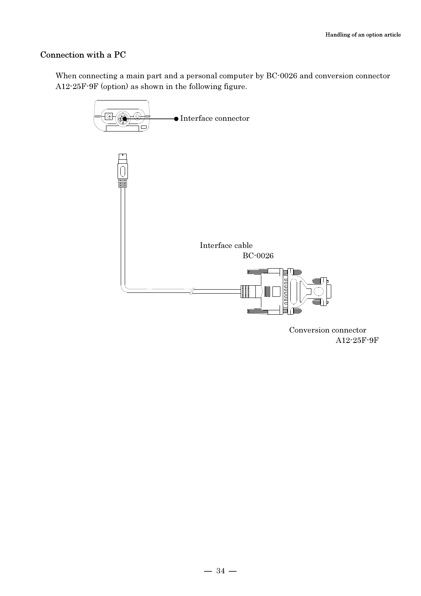# Connection with a PC

When connecting a main part and a personal computer by BC-0026 and conversion connector A12-25F-9F (option) as shown in the following figure.



 Conversion connector A12-25F-9F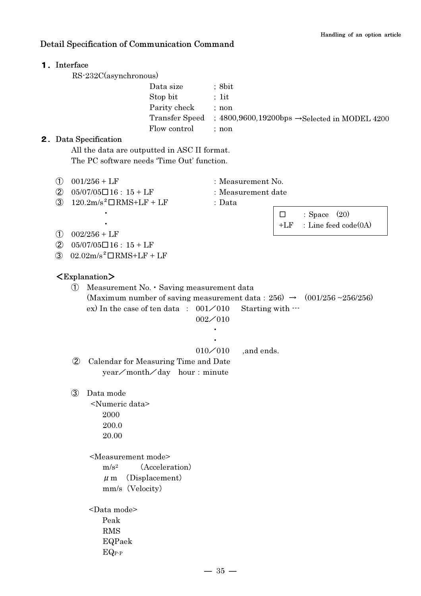### Detail Specification of Communication Command

### 1.Interface

RS-232C(asynchronous)

| Data size    | : 8bit                                                                      |
|--------------|-----------------------------------------------------------------------------|
| Stop bit     | $: 1$ it                                                                    |
| Parity check | : non                                                                       |
|              | Transfer Speed ; $4800,9600,19200$ bps $\rightarrow$ Selected in MODEL 4200 |
| Flow control | : non                                                                       |

#### 2.Data Specification

 All the data are outputted in ASC II format. The PC software needs 'Time Out' function.

- $\overline{10}$  001/256 + LF : Measurement No.
- $\overline{2}$  05/07/05 $\overline{16}:15 + LF$  : Measurement date
- $3 \quad 120.2 \text{m/s}^2 \square \text{RMS} + \text{LF} + \text{LF}$  : Data
- 
- -
- $\square$  : Space  $(20)$  $+LF$  : Line feed code $(0A)$

 $(1)$  002/256 + LF

*Contract Street Contract Contract States* 

- $(2)$  05/07/05 $\Box$ 16: 15 + LF
- $\omega$  02.02m/s<sup>2</sup>  $\Box$ RMS+LF + LF

#### <Explanation>

① Measurement No.・Saving measurement data (Maximum number of saving measurement data:  $256 \rightarrow (001/256 \sim 256/256)$ ) ex) In the case of ten data :  $001\angle 010$  Starting with  $\cdots$ 002/010 **Second Contract Contract Contract Contract Contract Contract Second Contract Contract Contract Contract Contract Contract** 010/010 ,and ends. ② Calendar for Measuring Time and Date year/month/day hour: minute ③ Data mode <Numeric data> 2000 200.0 20.00

<Measurement mode>

 $m/s<sup>2</sup>$  (Acceleration)  $\mu$  m (Displacement) mm/s(Velocity)

<Data mode> Peak RMS EQPaek EQP-P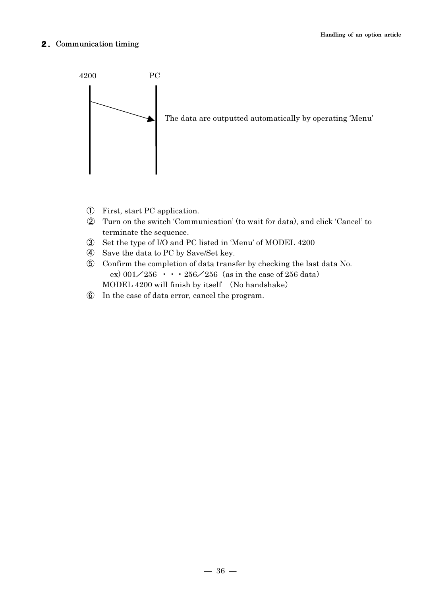#### 2.Communication timing



- ① First, start PC application.
- ② Turn on the switch 'Communication' (to wait for data), and click 'Cancel' to terminate the sequence.
- ③ Set the type of I/O and PC listed in 'Menu' of MODEL 4200
- ④ Save the data to PC by Save/Set key.
- ⑤ Confirm the completion of data transfer by checking the last data No. ex)  $001\angle 256$  · · · 256 $\angle 256$  (as in the case of 256 data) MODEL 4200 will finish by itself (No handshake)
- ⑥ In the case of data error, cancel the program.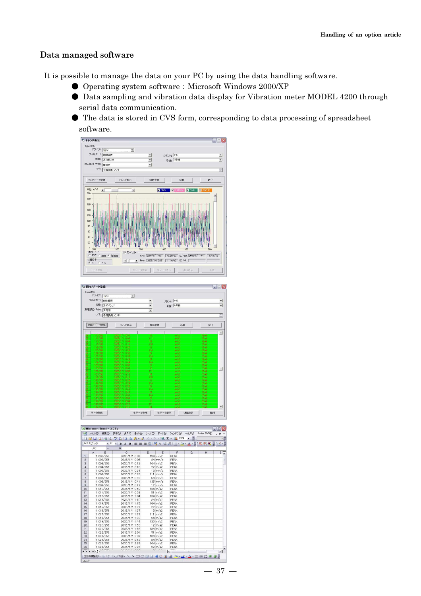### Data managed software

It is possible to manage the data on your PC by using the data handling software.

- Operating system software: Microsoft Windows 2000/XP
- Data sampling and vibration data display for Vibration meter MODEL 4200 through serial data communication.
- The data is stored in CVS form, corresponding to data processing of spreadsheet software.



| Type3116<br>ドライブ:   ey       |                               |                          |              |              |                          |
|------------------------------|-------------------------------|--------------------------|--------------|--------------|--------------------------|
| フォルダー: 価向管理                  | $\blacktriangledown$          |                          |              |              |                          |
|                              |                               | $\overline{\phantom{a}}$ | ブラント: K-5    |              | $\overline{ }$           |
| 機器: 冷却ポンプ                    |                               | ٠                        | 号機: A号機      |              | $\overline{\phantom{0}}$ |
| 測定部位·方向: 自荷側                 |                               | ۰                        |              |              |                          |
|                              |                               |                          |              |              |                          |
|                              | メモ: 子備設備メンテ                   |                          |              |              | ≣                        |
| 回收/データ登録                     | トレンド表示                        | 機器登録                     | En#4         | 終了           |                          |
|                              |                               |                          |              |              |                          |
| 115/256<br>ø.                | 2005/1711057                  | 13                       | n/s2         | PFAK         | $\overline{\phantom{a}}$ |
| ā.<br>116/256                | 2005/1/1 11:03                | Ħ                        | m/s2         | PEAK         |                          |
| ō<br>117/256                 | 2005/171 11:09                | 84                       | m/42         | PEAK         |                          |
| 1187255<br>ø                 | 2005/1711114                  | 135                      | m/s          | PEAK         |                          |
| 119/256                      | 2005/1711120                  | 12                       | m/s2         | PEAK         |                          |
| 120/256<br>n,                | 2005/1711126                  | 134                      | m/s2         | PEAK         |                          |
| 121/256<br>۵                 | 2005/1/1 11:32                | 61                       | m/32         | PEAK         |                          |
| ø<br>122/256                 | 2005/1711137                  | 124                      | m/s2         | PEAK         |                          |
| 123/256<br>а                 | 2005/171 11:43                | 24                       | $\pi/62$     | <b>PFAK</b>  |                          |
| 124/256<br>ø                 | 2005/1711149                  | 164                      | $\pi/2$      | PEAK         |                          |
| â<br>125/256                 | 2005/1711155                  | $\overline{22}$          | n/s2         | PEAK         |                          |
| 126/256<br>ø                 | 2005/1711201                  | 13                       | $\pi$ /s2    | PEAK         |                          |
| 127/256<br>ø                 | 2005/171 12:06                | m                        | π/52         | PEAK         |                          |
| a,<br>128/256                | 2005/171 12:12                | 54                       | $m/z^2$      | PEAK         |                          |
| â<br>1297256                 | 2005/1/1 1218                 | 135                      | m/32         | PEAK         |                          |
| 130/256<br>ø,                | 2005/171 12:24                | 12                       | m/s2         | PEAK         |                          |
| ō.<br>131/256                | 2005/171 12:29                | 194                      | n/s2         | PFAK         |                          |
| ā,<br>132/256                | 2005/1/1 12:35                | $\overline{51}$          | m/s2         | PEAK         |                          |
| ô<br>1337256                 | 2005/171 12:41                | 194                      | N/22         | PEAK         |                          |
| ō<br>134/256                 | 2005/171 12:47                | 24                       | m/s2         | PEAK         |                          |
| 135/256<br>ø                 | 2005/171 12:52                | 164                      | m/s2         | PEAK         |                          |
| ø<br>136/266                 | 2005/171 1258                 | żż                       | m/s2         | PEAK         |                          |
| ñ,<br>137/256                | 2005/1/1 1304                 | 13                       | m/s2         | PEAK         |                          |
| 138/256<br>o<br>139/256<br>ಠ | 2005/1711310<br>2005/171 1315 | m<br>54                  | m/s2<br>m/62 | PEAK<br>PEAK | ۰                        |
|                              |                               |                          |              |              |                          |

|                |                           |           | id G H B B B (プ以) & G B - J   0 - (* - 1 8 Σ - 1 2004 - 2 1 |   |                     |                         |    |   |               |
|----------------|---------------------------|-----------|-------------------------------------------------------------|---|---------------------|-------------------------|----|---|---------------|
|                | EMS PTシック                 |           | - 11 - BI UINT 프로젝트 및 % M - 3 IS - G - A - 미 한 원 등 IS - 미   |   |                     |                         |    |   |               |
|                | <b>J4B</b>                |           | $f_{\mathsf{R}}$                                            |   |                     |                         |    |   |               |
|                | A                         | <b>B</b>  | $\tilde{C}$                                                 | D | E                   | F                       | G  | H |               |
| $\mathbf{1}$   |                           | 1 001/256 | 2005/1/1 0.01                                               |   | $134 \text{ m/s2}$  | PEAK                    |    |   |               |
| $\overline{c}$ |                           | 1 002/256 | 2005/1/1 0:06                                               |   | $24$ mm/s           | PEAK                    |    |   |               |
| 3              |                           | 1 003/256 | 2005/1/1 0:12                                               |   | $164 \text{ m/s2}$  | PEAK                    |    |   |               |
| $\overline{4}$ |                           | 1 004/256 | 2005/1/1 018                                                |   | $22 \text{ m/s2}$   | PEAK                    |    |   |               |
| 5              |                           | 1 005/256 | 2005/1/1 0:24                                               |   | $13$ mm/s           | PEAK                    |    |   |               |
| 6              |                           | 1 006/256 | 2005/1/1 0:29                                               |   | $111$ mm/s          | PEAK                    |    |   |               |
| $\overline{7}$ |                           | 1 007/256 | 2005/1/1 0:35                                               |   | $54$ mm/s           | PEAK                    |    |   |               |
| 8              |                           | 1 008/256 | 2005/1/1 0:41                                               |   | $135$ mm/s          | PEAK                    |    |   |               |
| $\theta$       |                           | 1 009/256 | 2005/1/1 0:47                                               |   | $12 \text{ mm/s}$   | PEAK                    |    |   |               |
| 10             |                           | 1 010/256 | 2005/1/1 052                                                |   | 134 m/s2            | PEAK                    |    |   |               |
| 11             |                           | 1 011/256 | 2005/1/1 0:58                                               |   | $51 \text{ m/s2}$   | PEAK                    |    |   |               |
| 12             |                           | 1 012/256 | 2005/1/1 1:04                                               |   | $134 \text{ m/s2}$  | PEAK                    |    |   |               |
| 13             |                           | 1 013/256 | 2005/1/1 1:10                                               |   | $24 \, m/s2$        | PEAK                    |    |   |               |
| 14             |                           | 1 014/256 | 2005/1/1 1:15                                               |   | 164 m/s2            | PEAK                    |    |   |               |
| 15             |                           | 1 015/256 | 2005/1/1 1 21                                               |   | $22 \, \text{m/s2}$ | PEAK                    |    |   |               |
| 16             |                           | 1 016/256 | 2005/1/1127                                                 |   | 13 m/s2             | PEAK                    |    |   |               |
| 17             |                           | 1 017/256 | 2005/1/1 1:33                                               |   | $111 \text{ m/s2}$  | PEAK                    |    |   |               |
| 18             |                           | 1 018/256 | 2005/1/1 1:38                                               |   | 54 m/s2             | PEAK                    |    |   |               |
| 19             |                           | 1 019/256 | 2005/1/1 1:44                                               |   | 135 m/s2            | PEAK                    |    |   |               |
| 20             |                           | 1 020/256 | 2005/1/1 1 50                                               |   | $12 \text{ m/s2}$   | PEAK                    |    |   |               |
| 21             |                           | 1 021/256 | 2005/1/1 1.56                                               |   | 134 m/s2            | PEAK                    |    |   |               |
| 22             |                           | 1 022/256 | 2005/1/1 2:01                                               |   | $51 \ m/s2$         | PEAK                    |    |   |               |
| 23             |                           | 1 023/256 | 2005/1/1 2:07                                               |   | $134 \text{ m/s2}$  | PEAK                    |    |   |               |
| 24             |                           | 1 024/256 | 2005/1/1 2:13                                               |   | $24 \, m/s2$        | PEAK                    |    |   |               |
| 25             |                           | 1 025/256 | 2005/1/1 2:19                                               |   | $164 \text{ m/s2}$  | PEAK                    |    |   |               |
| 26             |                           | 1 026/256 | 2005/1/1 2:25                                               |   | $22 \text{ m/s}2$   | PEAK                    |    |   |               |
|                | $H$ $\rightarrow$ $H$ $3$ |           |                                                             |   |                     | $\overline{\mathbf{K}}$ | 11 |   | $\rightarrow$ |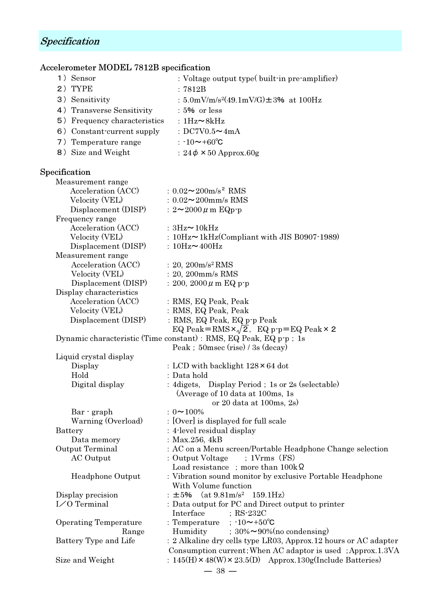# Specification

# Accelerometer MODEL 7812B specification

| 1) Sensor                                       | : Voltage output type $(built-in pre-amplifier)$                                                                               |
|-------------------------------------------------|--------------------------------------------------------------------------------------------------------------------------------|
| 2) TYPE                                         | : 7812B                                                                                                                        |
| 3) Sensitivity                                  | : 5.0mV/m/s <sup>2</sup> (49.1mV/G) $\pm$ 3% at 100Hz                                                                          |
| 4) Transverse Sensitivity                       | $:5\%$ or less                                                                                                                 |
| 5) Frequency characteristics : $1Hz \sim 8kHz$  |                                                                                                                                |
| 6) Constant current supply : $DC7V0.5 \sim 4mA$ |                                                                                                                                |
| 7) Temperature range                            | : $\cdot 10$ ~+60°C                                                                                                            |
| 8) Size and Weight                              | : $24\phi \times 50$ Approx.60g                                                                                                |
|                                                 |                                                                                                                                |
| Specification                                   |                                                                                                                                |
| Measurement range                               |                                                                                                                                |
| Acceleration (ACC)                              | : $0.02 \sim 200 \text{m/s}^2$ RMS                                                                                             |
| Velocity (VEL)                                  | : $0.02 \sim 200$ mm/s RMS                                                                                                     |
| Displacement (DISP)                             | : $2 \sim 2000 \,\mu \,\text{m}$ EQp-p                                                                                         |
| Frequency range                                 |                                                                                                                                |
| Acceleration (ACC)                              | : $3Hz \sim 10kHz$                                                                                                             |
| Velocity (VEL)                                  | : $10\text{Hz}$ $\sim$ 1kHz(Compliant with JIS B0907-1989)                                                                     |
| Displacement (DISP)                             | : $10\text{Hz}$ ~ $400\text{Hz}$                                                                                               |
| Measurement range                               |                                                                                                                                |
| Acceleration (ACC)                              | : 20, $200 \text{m/s}^2$ RMS                                                                                                   |
| Velocity (VEL)                                  | $: 20, 200$ mm/s RMS                                                                                                           |
| Displacement (DISP)                             | : 200, 2000 $\mu$ m EQ p-p                                                                                                     |
| Display characteristics                         |                                                                                                                                |
| Acceleration (ACC)                              | : RMS, EQ Peak, Peak                                                                                                           |
| Velocity (VEL)                                  | : RMS, EQ Peak, Peak                                                                                                           |
| Displacement (DISP)                             | : RMS, EQ Peak, EQ p-p Peak                                                                                                    |
|                                                 | EQ Peak=RMS $\times \sqrt{2}$ , EQ p-p=EQ Peak $\times$ 2<br>Dynamic characteristic (Time constant) : RMS, EQ Peak, EQ p-p; 1s |
|                                                 | Peak ; 50 msec (rise) / 3s (decay)                                                                                             |
| Liquid crystal display                          |                                                                                                                                |
| Display                                         | : LCD with backlight $128 \times 64$ dot                                                                                       |
| Hold                                            | : Data hold                                                                                                                    |
| Digital display                                 | : 4 digets, Display Period; 1s or 2s (selectable)                                                                              |
|                                                 | (Average of 10 data at 100ms, 1s                                                                                               |
|                                                 | or 20 data at 100ms, $2s$ )                                                                                                    |
| Bar · graph                                     | $: 0 \sim 100\%$                                                                                                               |
| Warning (Overload)                              | : [Over] is displayed for full scale                                                                                           |
| <b>Battery</b>                                  | : 4-level residual display                                                                                                     |
| Data memory                                     | : $Max.256, 4kB$                                                                                                               |
| Output Terminal                                 | : AC on a Menu screen/Portable Headphone Change selection                                                                      |
| AC Output                                       | : Output Voltage<br>$; 1Vrms$ $(FS)$                                                                                           |
|                                                 | Load resistance ; more than $100k\Omega$                                                                                       |
| Headphone Output                                | : Vibration sound monitor by exclusive Portable Headphone<br>With Volume function                                              |
| Display precision                               | (at 9.81m/s <sup>2</sup> 159.1Hz)<br>:士5%                                                                                      |
| I/O Terminal                                    | : Data output for PC and Direct output to printer                                                                              |
|                                                 | Interface<br>$;$ RS-232C                                                                                                       |
| <b>Operating Temperature</b>                    | ; $-10$ ~+50°C<br>: Temperature                                                                                                |
| Range                                           | $30\% \sim 90\%$ (no condensing)<br>Humidity                                                                                   |
| Battery Type and Life                           | : 2 Alkaline dry cells type LR03, Approx. 12 hours or AC adapter                                                               |
|                                                 | Consumption current; When AC adaptor is used; Approx.1.3VA                                                                     |
| Size and Weight                                 | : $145(H) \times 48(W) \times 23.5(D)$ Approx. 130g(Include Batteries)                                                         |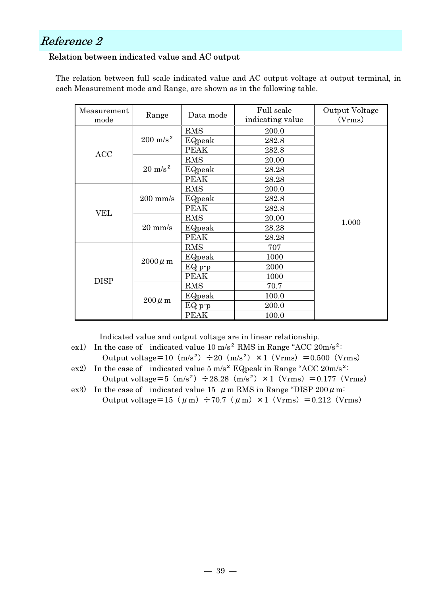# Reference 2

### Relation between indicated value and AC output

The relation between full scale indicated value and AC output voltage at output terminal, in each Measurement mode and Range, are shown as in the following table.

| Measurement<br>mode | Range               | Data mode   | Full scale<br>indicating value | Output Voltage<br>(Vrms) |
|---------------------|---------------------|-------------|--------------------------------|--------------------------|
|                     |                     | <b>RMS</b>  | 200.0                          |                          |
|                     | $200 \text{ m/s}^2$ | EQpeak      | 282.8                          |                          |
| <b>ACC</b>          |                     | <b>PEAK</b> | 282.8                          |                          |
|                     |                     | <b>RMS</b>  | 20.00                          |                          |
|                     | $20 \text{ m/s}^2$  | EQpeak      | 28.28                          |                          |
|                     |                     | PEAK        | 28.28                          |                          |
|                     |                     | <b>RMS</b>  | 200.0                          |                          |
|                     | $200$ mm/s          | EQpeak      | 282.8                          |                          |
| <b>VEL</b>          |                     | PEAK        | 282.8                          |                          |
|                     | $20 \text{ mm/s}$   | <b>RMS</b>  | 20.00                          | 1.000                    |
|                     |                     | EQpeak      | 28.28                          |                          |
|                     |                     | <b>PEAK</b> | 28.28                          |                          |
|                     | $2000 \mu m$        | <b>RMS</b>  | 707                            |                          |
|                     |                     | EQpeak      | 1000                           |                          |
|                     |                     | $EQp-p$     | 2000                           |                          |
| <b>DISP</b>         |                     | <b>PEAK</b> | 1000                           |                          |
|                     |                     | <b>RMS</b>  | 70.7                           |                          |
|                     |                     | EQpeak      | 100.0                          |                          |
|                     | $200 \mu m$         | $EQp-p$     | 200.0                          |                          |
|                     |                     | PEAK        | 100.0                          |                          |

Indicated value and output voltage are in linear relationship.

- ex1) In the case of indicated value  $10 \text{ m/s}^2$  RMS in Range "ACC 20m/s<sup>2</sup>: Output voltage=10 $(m/s^2) \div 20(m/s^2) \times 1$  (Vrms) =0.500 (Vrms)
- ex2) In the case of indicated value  $5 \text{ m/s}^2$  EQpeak in Range "ACC 20m/s<sup>2</sup>: Output voltage=5  $(m/s^2) \div 28.28$   $(m/s^2) \times 1$  (Vrms) =0.177 (Vrms)
- ex3) In the case of indicated value 15  $\mu$  m RMS in Range "DISP 200  $\mu$  m: Output voltage=15 ( $\mu$ m) ÷70.7 ( $\mu$ m) ×1 (Vrms) =0.212 (Vrms)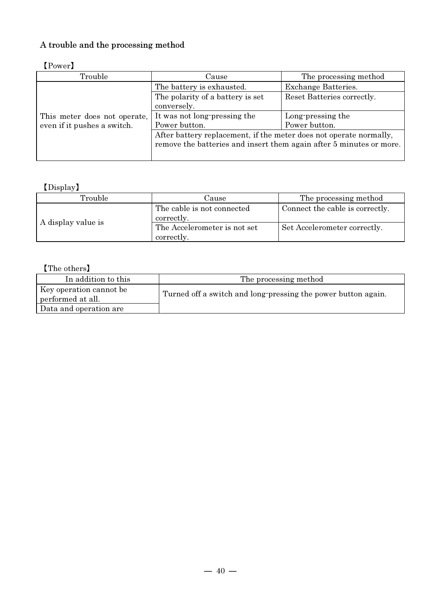# A trouble and the processing method

| 11 OW OL 4                   |                                                                                                                                           |                            |  |  |
|------------------------------|-------------------------------------------------------------------------------------------------------------------------------------------|----------------------------|--|--|
| Trouble                      | Cause                                                                                                                                     | The processing method      |  |  |
|                              | The battery is exhausted.                                                                                                                 | Exchange Batteries.        |  |  |
|                              | The polarity of a battery is set                                                                                                          | Reset Batteries correctly. |  |  |
| This meter does not operate, | conversely.                                                                                                                               |                            |  |  |
|                              | It was not long-pressing the                                                                                                              | Long-pressing the          |  |  |
| even if it pushes a switch.  | Power button.                                                                                                                             | Power button.              |  |  |
|                              | After battery replacement, if the meter does not operate normally,<br>remove the batteries and insert them again after 5 minutes or more. |                            |  |  |
|                              |                                                                                                                                           |                            |  |  |

### 【Power】

# 【Display】

| Trouble            | Cause                                      | The processing method           |
|--------------------|--------------------------------------------|---------------------------------|
| A display value is | The cable is not connected<br>correctly.   | Connect the cable is correctly. |
|                    | The Accelerometer is not set<br>correctly. | Set Accelerometer correctly.    |

# 【The others】

| In addition to this                          | The processing method                                         |
|----------------------------------------------|---------------------------------------------------------------|
| Key operation cannot be<br>performed at all. | Turned off a switch and long pressing the power button again. |
| Data and operation are                       |                                                               |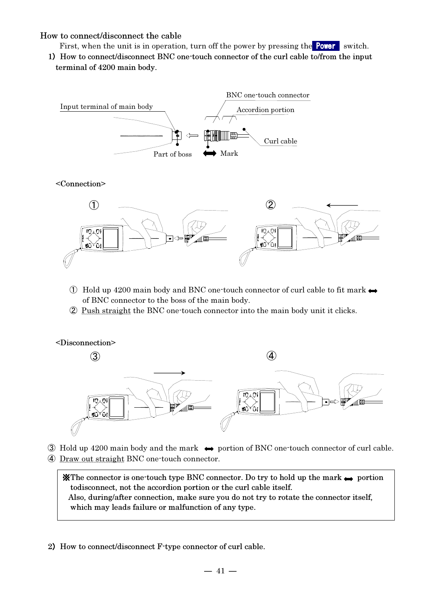#### How to connect/disconnect the cable

- First, when the unit is in operation, turn off the power by pressing the **Power** switch.
- 1) How to connect/disconnect BNC one-touch connector of the curl cable to/from the input terminal of 4200 main body.



#### <Connection>



- $\circled{1}$  Hold up 4200 main body and BNC one-touch connector of curl cable to fit mark  $\leftrightarrow$ of BNC connector to the boss of the main body.
- ② Push straight the BNC one-touch connector into the main body unit it clicks.



 $\textcircled{3}$  Hold up 4200 main body and the mark  $\leftrightarrow$  portion of BNC one-touch connector of curl cable. ④ Draw out straight BNC one-touch connector.

 $\mathbf{\&}$ The connector is one-touch type BNC connector. Do try to hold up the mark  $\rightarrow$  portion todisconnect, not the accordion portion or the curl cable itself. Also, during/after connection, make sure you do not try to rotate the connector itself, which may leads failure or malfunction of any type.

2) How to connect/disconnect F-type connector of curl cable.